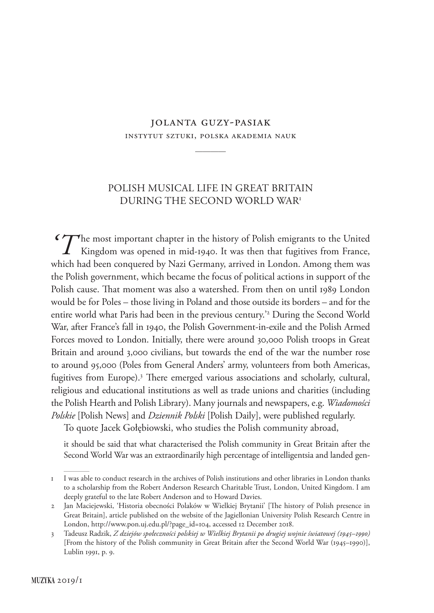## jolanta guzy-pasiak instytut sztuki, polska akademia nauk

————

## Polish musical life in Great Britain during the Second World War1

 $\sum_{k=1}^{n} \frac{1}{k}$  Kingdom was opened in mid-1940. It was then that fugitives from France, which had been conquered by Nazi Germany, arrived in London. Among them was the Polish government, which became the focus of political actions in support of the Polish cause. That moment was also a watershed. From then on until 1989 London would be for Poles – those living in Poland and those outside its borders – and for the entire world what Paris had been in the previous century.'2 During the Second World War, after France's fall in 1940, the Polish Government-in-exile and the Polish Armed Forces moved to London. Initially, there were around 30,000 Polish troops in Great Britain and around 3,000 civilians, but towards the end of the war the number rose to around 95,000 (Poles from General Anders' army, volunteers from both Americas, fugitives from Europe).<sup>3</sup> There emerged various associations and scholarly, cultural, religious and educational institutions as well as trade unions and charities (including the Polish Hearth and Polish Library). Many journals and newspapers, e.g. *Wiadomości Polskie* [Polish News] and *Dziennik Polski* [Polish Daily], were published regularly.

To quote Jacek Gołębiowski, who studies the Polish community abroad,

it should be said that what characterised the Polish community in Great Britain after the Second World War was an extraordinarily high percentage of intelligentsia and landed gen-

<sup>1</sup> I was able to conduct research in the archives of Polish institutions and other libraries in London thanks to a scholarship from the Robert Anderson Research Charitable Trust, London, United Kingdom. I am deeply grateful to the late Robert Anderson and to Howard Davies.

<sup>2</sup> Jan Maciejewski, 'Historia obecności Polaków w Wielkiej Brytanii' [The history of Polish presence in Great Britain], article published on the website of the Jagiellonian University Polish Research Centre in London, http://www.pon.uj.edu.pl/?page\_id=104, accessed 12 December 2018.

<sup>3</sup> Tadeusz Radzik, *Z dziejów społeczności polskiej w Wielkiej Brytanii po drugiej wojnie światowej (1945–1990)* [From the history of the Polish community in Great Britain after the Second World War (1945–1990)], Lublin 1991, p. 9.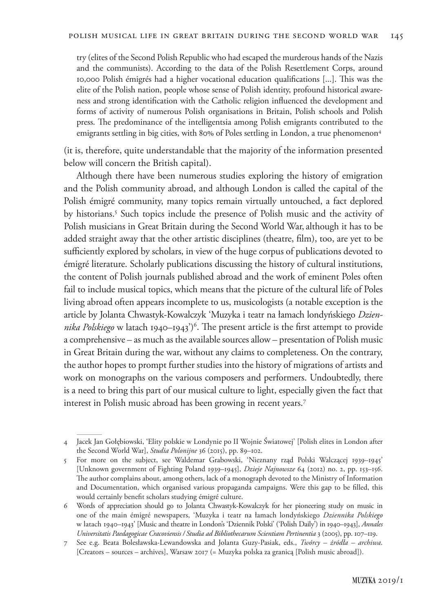try (elites of the Second Polish Republic who had escaped the murderous hands of the Nazis and the communists). According to the data of the Polish Resettlement Corps, around 10,000 Polish émigrés had a higher vocational education qualifications [...]. This was the elite of the Polish nation, people whose sense of Polish identity, profound historical awareness and strong identification with the Catholic religion influenced the development and forms of activity of numerous Polish organisations in Britain, Polish schools and Polish press. The predominance of the intelligentsia among Polish emigrants contributed to the emigrants settling in big cities, with 80% of Poles settling in London, a true phenomenon<sup>4</sup>

(it is, therefore, quite understandable that the majority of the information presented below will concern the British capital).

Although there have been numerous studies exploring the history of emigration and the Polish community abroad, and although London is called the capital of the Polish émigré community, many topics remain virtually untouched, a fact deplored by historians.<sup>5</sup> Such topics include the presence of Polish music and the activity of Polish musicians in Great Britain during the Second World War, although it has to be added straight away that the other artistic disciplines (theatre, film), too, are yet to be sufficiently explored by scholars, in view of the huge corpus of publications devoted to émigré literature. Scholarly publications discussing the history of cultural institutions, the content of Polish journals published abroad and the work of eminent Poles often fail to include musical topics, which means that the picture of the cultural life of Poles living abroad often appears incomplete to us, musicologists (a notable exception is the article by Jolanta Chwastyk-Kowalczyk 'Muzyka i teatr na łamach londyńskiego *Dzien*nika Polskiego w latach 1940–1943<sup>')6</sup>. The present article is the first attempt to provide a comprehensive – as much as the available sources allow – presentation of Polish music in Great Britain during the war, without any claims to completeness. On the contrary, the author hopes to prompt further studies into the history of migrations of artists and work on monographs on the various composers and performers. Undoubtedly, there is a need to bring this part of our musical culture to light, especially given the fact that interest in Polish music abroad has been growing in recent years.7

<sup>4</sup> Jacek Jan Gołębiowski, 'Elity polskie w Londynie po II Wojnie Światowej' [Polish elites in London after the Second World War], *Studia Polonijne* 36 (2015), pp. 89–102.

<sup>5</sup> For more on the subject, see Waldemar Grabowski, 'Nieznany rząd Polski Walczącej 1939–1945' [Unknown government of Fighting Poland 1939–1945], *Dzieje Najnowsze* 64 (2012) no. 2, pp. 153–156. The author complains about, among others, lack of a monograph devoted to the Ministry of Information and Documentation, which organised various propaganda campaigns. Were this gap to be filled, this would certainly benefit scholars studying émigré culture.

<sup>6</sup> Words of appreciation should go to Jolanta Chwastyk-Kowalczyk for her pioneering study on music in one of the main émigré newspapers, 'Muzyka i teatr na łamach londyńskiego *Dziennika Polskiego* w latach 1940–1943' [Music and theatre in London's 'Dziennik Polski' ('Polish Daily') in 1940–1943], *Annales Universitatis Paedagogicae Cracoviensis / Studia ad Bibliothecarum Scientiam Pertinentia* 3 (2005), pp. 107–119.

<sup>7</sup> See e.g. Beata Bolesławska-Lewandowska and Jolanta Guzy-Pasiak, eds., *Twórcy – źródła – archiwa*. [Creators – sources – archives], Warsaw 2017 (= Muzyka polska za granicą [Polish music abroad]).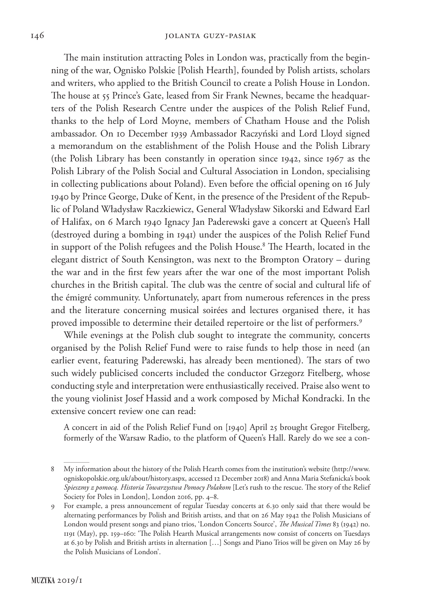The main institution attracting Poles in London was, practically from the beginning of the war, Ognisko Polskie [Polish Hearth], founded by Polish artists, scholars and writers, who applied to the British Council to create a Polish House in London. The house at 55 Prince's Gate, leased from Sir Frank Newnes, became the headquarters of the Polish Research Centre under the auspices of the Polish Relief Fund, thanks to the help of Lord Moyne, members of Chatham House and the Polish ambassador. On 10 December 1939 Ambassador Raczyński and Lord Lloyd signed a memorandum on the establishment of the Polish House and the Polish Library (the Polish Library has been constantly in operation since 1942, since 1967 as the Polish Library of the Polish Social and Cultural Association in London, specialising in collecting publications about Poland). Even before the official opening on 16 July 1940 by Prince George, Duke of Kent, in the presence of the President of the Republic of Poland Władysław Raczkiewicz, General Władysław Sikorski and Edward Earl of Halifax, on 6 March 1940 Ignacy Jan Paderewski gave a concert at Queen's Hall (destroyed during a bombing in 1941) under the auspices of the Polish Relief Fund in support of the Polish refugees and the Polish House.8 The Hearth, located in the elegant district of South Kensington, was next to the Brompton Oratory – during the war and in the first few years after the war one of the most important Polish churches in the British capital. The club was the centre of social and cultural life of the émigré community. Unfortunately, apart from numerous references in the press and the literature concerning musical soirées and lectures organised there, it has proved impossible to determine their detailed repertoire or the list of performers.<sup>9</sup>

While evenings at the Polish club sought to integrate the community, concerts organised by the Polish Relief Fund were to raise funds to help those in need (an earlier event, featuring Paderewski, has already been mentioned). The stars of two such widely publicised concerts included the conductor Grzegorz Fitelberg, whose conducting style and interpretation were enthusiastically received. Praise also went to the young violinist Josef Hassid and a work composed by Michał Kondracki. In the extensive concert review one can read:

A concert in aid of the Polish Relief Fund on [1940] April 25 brought Gregor Fitelberg, formerly of the Warsaw Radio, to the platform of Queen's Hall. Rarely do we see a con-

<sup>8</sup> My information about the history of the Polish Hearth comes from the institution's website (http://www. ogniskopolskie.org.uk/about/history.aspx, accessed 12 December 2018) and Anna Maria Stefanicka's book *Spieszmy z pomocą. Historia Towarzystwa Pomocy Polakom* [Let's rush to the rescue. The story of the Relief Society for Poles in London], London 2016, pp. 4–8.

<sup>9</sup> For example, a press announcement of regular Tuesday concerts at 6.30 only said that there would be alternating performances by Polish and British artists, and that on 26 May 1942 the Polish Musicians of London would present songs and piano trios, 'London Concerts Source', *The Musical Times* 83 (1942) no. 1191 (May), pp. 159–160: 'The Polish Hearth Musical arrangements now consist of concerts on Tuesdays at 6.30 by Polish and British artists in alternation […] Songs and Piano Trios will be given on May 26 by the Polish Musicians of London'.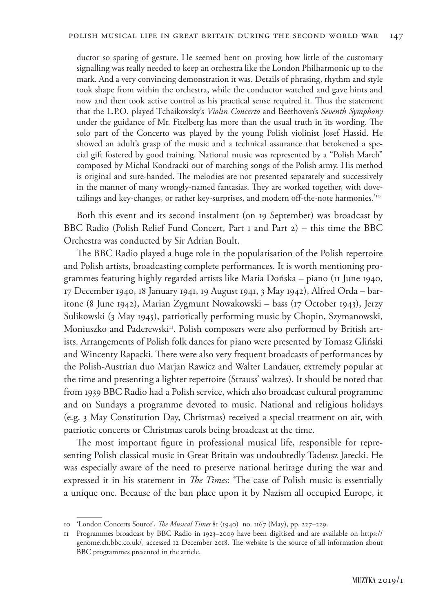ductor so sparing of gesture. He seemed bent on proving how little of the customary signalling was really needed to keep an orchestra like the London Philharmonic up to the mark. And a very convincing demonstration it was. Details of phrasing, rhythm and style took shape from within the orchestra, while the conductor watched and gave hints and now and then took active control as his practical sense required it. Thus the statement that the L.P.O. played Tchaikovsky's *Violin Concerto* and Beethoven's *Seventh Symphony*  under the guidance of Mr. Fitelberg has more than the usual truth in its wording. The solo part of the Concerto was played by the young Polish violinist Josef Hassid. He showed an adult's grasp of the music and a technical assurance that betokened a special gift fostered by good training. National music was represented by a "Polish March" composed by Michal Kondracki out of marching songs of the Polish army. His method is original and sure-handed. The melodies are not presented separately and successively in the manner of many wrongly-named fantasias. They are worked together, with dovetailings and key-changes, or rather key-surprises, and modern off-the-note harmonies.'10

Both this event and its second instalment (on 19 September) was broadcast by BBC Radio (Polish Relief Fund Concert, Part 1 and Part 2) – this time the BBC Orchestra was conducted by Sir Adrian Boult.

The BBC Radio played a huge role in the popularisation of the Polish repertoire and Polish artists, broadcasting complete performances. It is worth mentioning programmes featuring highly regarded artists like Maria Dońska – piano (11 June 1940, 17 December 1940, 18 January 1941, 19 August 1941, 3 May 1942), Alfred Orda – baritone (8 June 1942), Marian Zygmunt Nowakowski – bass (17 October 1943), Jerzy Sulikowski (3 May 1945), patriotically performing music by Chopin, Szymanowski, Moniuszko and Paderewski<sup>11</sup>. Polish composers were also performed by British artists. Arrangements of Polish folk dances for piano were presented by Tomasz Gliński and Wincenty Rapacki. There were also very frequent broadcasts of performances by the Polish-Austrian duo Marjan Rawicz and Walter Landauer, extremely popular at the time and presenting a lighter repertoire (Strauss' waltzes). It should be noted that from 1939 BBC Radio had a Polish service, which also broadcast cultural programme and on Sundays a programme devoted to music. National and religious holidays (e.g. 3 May Constitution Day, Christmas) received a special treatment on air, with patriotic concerts or Christmas carols being broadcast at the time.

The most important figure in professional musical life, responsible for representing Polish classical music in Great Britain was undoubtedly Tadeusz Jarecki. He was especially aware of the need to preserve national heritage during the war and expressed it in his statement in *The Times*: 'The case of Polish music is essentially a unique one. Because of the ban place upon it by Nazism all occupied Europe, it

<sup>10</sup> 'London Concerts Source', *The Musical Times* 81 (1940) no. 1167 (May), pp. 227–229.

<sup>11</sup> Programmes broadcast by BBC Radio in 1923–2009 have been digitised and are available on https:// genome.ch.bbc.co.uk/, accessed 12 December 2018. The website is the source of all information about BBC programmes presented in the article.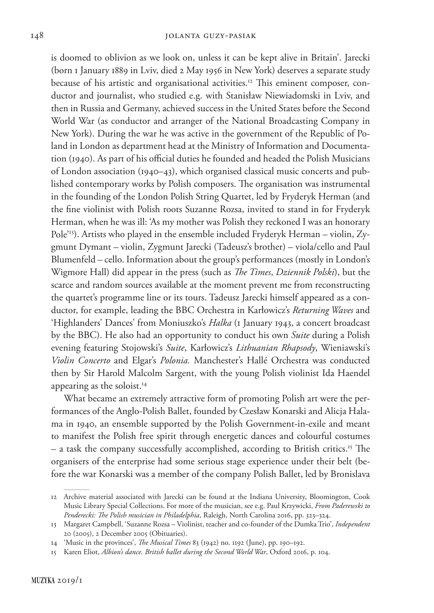is doomed to oblivion as we look on, unless it can be kept alive in Britain'. Jarecki (born 1 January 1889 in Lviv, died 2 May 1956 in New York) deserves a separate study because of his artistic and organisational activities.<sup>12</sup> This eminent composer, conductor and journalist, who studied e.g. with Stanisław Niewiadomski in Lviv, and then in Russia and Germany, achieved success in the United States before the Second World War (as conductor and arranger of the National Broadcasting Company in New York). During the war he was active in the government of the Republic of Poland in London as department head at the Ministry of Information and Documentation (1940). As part of his official duties he founded and headed the Polish Musicians of London association (1940–43), which organised classical music concerts and published contemporary works by Polish composers. The organisation was instrumental in the founding of the London Polish String Quartet, led by Fryderyk Herman (and the fine violinist with Polish roots Suzanne Rozsa, invited to stand in for Fryderyk Herman, when he was ill: 'As my mother was Polish they reckoned I was an honorary Pole'13). Artists who played in the ensemble included Fryderyk Herman – violin, Zygmunt Dymant – violin, Zygmunt Jarecki (Tadeusz's brother) – viola/cello and Paul Blumenfeld – cello. Information about the group's performances (mostly in London's Wigmore Hall) did appear in the press (such as *The Times*, *Dziennik Polski*), but the scarce and random sources available at the moment prevent me from reconstructing the quartet's programme line or its tours. Tadeusz Jarecki himself appeared as a conductor, for example, leading the BBC Orchestra in Karłowicz's *Returning Waves* and 'Highlanders' Dances' from Moniuszko's *Halka* (1 January 1943, a concert broadcast by the BBC). He also had an opportunity to conduct his own *Suite* during a Polish evening featuring Stojowski's *Suite*, Karłowicz's *Lithuanian Rhapsody*, Wieniawski's *Violin Concerto* and Elgar's *Polonia.* Manchester's Hallé Orchestra was conducted then by Sir Harold Malcolm Sargent, with the young Polish violinist Ida Haendel appearing as the soloist.<sup>14</sup>

What became an extremely attractive form of promoting Polish art were the performances of the Anglo-Polish Ballet, founded by Czesław Konarski and Alicja Halama in 1940, an ensemble supported by the Polish Government-in-exile and meant to manifest the Polish free spirit through energetic dances and colourful costumes – a task the company successfully accomplished, according to British critics.15 The organisers of the enterprise had some serious stage experience under their belt (before the war Konarski was a member of the company Polish Ballet, led by Bronislava

<sup>12</sup> Archive material associated with Jarecki can be found at the Indiana University, Bloomington, Cook Music Library Special Collections. For more of the musician, see e.g. Paul Krzywicki, *From Paderewski to Penderecki: The Polish musician in Philadelphia*, Raleigh, North Carolina 2016, pp. 323–324.

<sup>13</sup> Margaret Campbell, 'Suzanne Rozsa – Violinist, teacher and co-founder of the Dumka Trio', *Independent* 20 (2005), 2 December 2005 (Obituaries).

<sup>14</sup> 'Music in the provinces', *The Musical Times* 83 (1942) no. 1192 (June), pp. 190–192.

<sup>15</sup> Karen Eliot, *Albion's dance. British ballet during the Second World War*, Oxford 2016, p. 104.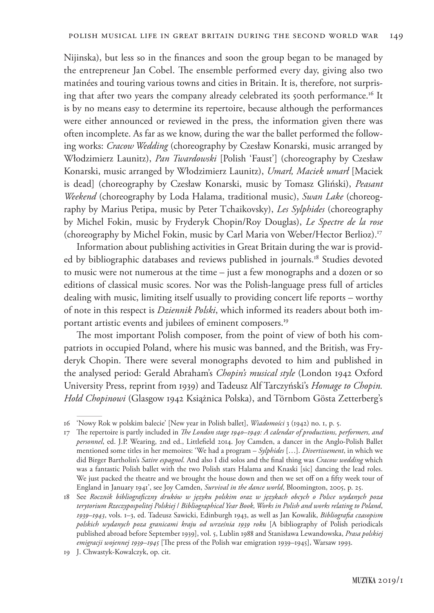Nijinska), but less so in the finances and soon the group began to be managed by the entrepreneur Jan Cobel. The ensemble performed every day, giving also two matinées and touring various towns and cities in Britain. It is, therefore, not surprising that after two years the company already celebrated its 500th performance.<sup>16</sup> It is by no means easy to determine its repertoire, because although the performances were either announced or reviewed in the press, the information given there was often incomplete. As far as we know, during the war the ballet performed the following works: *Cracow Wedding* (choreography by Czesław Konarski, music arranged by Włodzimierz Launitz), *Pan Twardowski* [Polish 'Faust'] (choreography by Czesław Konarski, music arranged by Włodzimierz Launitz), *Umarł, Maciek umarł* [Maciek is dead] (choreography by Czesław Konarski, music by Tomasz Gliński), *Peasant Weekend* (choreography by Loda Halama, traditional music), *Swan Lake* (choreography by Marius Petipa, music by Peter Tchaikovsky), *Les Sylphides* (choreography by Michel Fokin, music by Fryderyk Chopin/Roy Douglas), *Le Spectre de la rose* (choreography by Michel Fokin, music by Carl Maria von Weber/Hector Berlioz).17

Information about publishing activities in Great Britain during the war is provided by bibliographic databases and reviews published in journals.18 Studies devoted to music were not numerous at the time – just a few monographs and a dozen or so editions of classical music scores. Nor was the Polish-language press full of articles dealing with music, limiting itself usually to providing concert life reports – worthy of note in this respect is *Dziennik Polski*, which informed its readers about both important artistic events and jubilees of eminent composers.<sup>19</sup>

The most important Polish composer, from the point of view of both his compatriots in occupied Poland, where his music was banned, and the British, was Fryderyk Chopin. There were several monographs devoted to him and published in the analysed period: Gerald Abraham's *Chopin's musical style* (London 1942 Oxford University Press, reprint from 1939) and Tadeusz Alf Tarczyński's *Homage to Chopin. Hołd Chopinowi* (Glasgow 1942 Książnica Polska), and Törnbom Gösta Zetterberg's

<sup>16</sup> 'Nowy Rok w polskim balecie' [New year in Polish ballet], *Wiadomości* 3 (1942) no. 1, p. 5.

<sup>17</sup> The repertoire is partly included in *The London stage 1940–1949: A calendar of productions, performers, and personnel*, ed. J.P. Wearing, 2nd ed., Littlefield 2014. Joy Camden, a dancer in the Anglo-Polish Ballet mentioned some titles in her memoires: 'We had a program – *Sylphides* […]. *Divertissement*, in which we did Birger Bartholin's *Satire espagnol*. And also I did solos and the final thing was *Cracow wedding* which was a fantastic Polish ballet with the two Polish stars Halama and Knaski [sic] dancing the lead roles. We just packed the theatre and we brought the house down and then we set off on a fifty week tour of England in January 1941', see Joy Camden, *Survival in the dance world*, Bloomington, 2005, p. 25.

<sup>18</sup> See *Rocznik bibliograficzny druków w języku polskim oraz w językach obcych o Polsce wydanych poza terytorium Rzeczypospolitej Polskiej* / *Bibliographical Year Book, Works in Polish and works relating to Poland*, *1939–1943*, vols. 1–3, ed. Tadeusz Sawicki, Edinburgh 1943, as well as Jan Kowalik, *Bibliografia czasopism polskich wydanych poza granicami kraju od września 1939 roku* [A bibliography of Polish periodicals published abroad before September 1939], vol. 5, Lublin 1988 and Stanisława Lewandowska, *Prasa polskiej emigracji wojennej 1939–1945* [The press of the Polish war emigration 1939–1945], Warsaw 1993.

<sup>19</sup> J. Chwastyk-Kowalczyk, op. cit.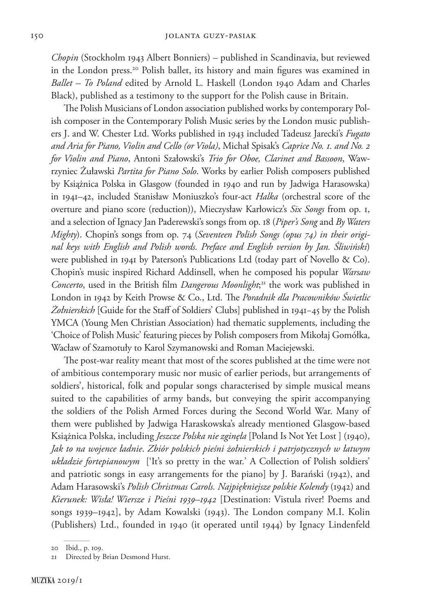*Chopin* (Stockholm 1943 Albert Bonniers) – published in Scandinavia, but reviewed in the London press.<sup>20</sup> Polish ballet, its history and main figures was examined in *Ballet – To Poland* edited by Arnold L. Haskell (London 1940 Adam and Charles Black), published as a testimony to the support for the Polish cause in Britain.

The Polish Musicians of London association published works by contemporary Polish composer in the Contemporary Polish Music series by the London music publishers J. and W. Chester Ltd. Works published in 1943 included Tadeusz Jarecki's *Fugato and Aria for Piano, Violin and Cello (or Viola)*, Michał Spisak's *Caprice No. 1. and No. 2 for Violin and Piano*, Antoni Szałowski's *Trio for Oboe, Clarinet and Bassoon*, Wawrzyniec Żuławski *Partita for Piano Solo*. Works by earlier Polish composers published by Książnica Polska in Glasgow (founded in 1940 and run by Jadwiga Harasowska) in 1941–42, included Stanisław Moniuszko's four-act *Halka* (orchestral score of the overture and piano score (reduction)), Mieczysław Karłowicz's *Six Songs* from op. 1, and a selection of Ignacy Jan Paderewski's songs from op. 18 (*Piper's Song* and *By Waters Mighty*). Chopin's songs from op. 74 (*Seventeen Polish Songs (opus 74) in their original keys with English and Polish words. Preface and English version by Jan. Śliwiński*) were published in 1941 by Paterson's Publications Ltd (today part of Novello & Co). Chopin's music inspired Richard Addinsell, when he composed his popular *Warsaw Concerto*, used in the British film *Dangerous Moonlight*; 21 the work was published in London in 1942 by Keith Prowse & Co., Ltd. The *Poradnik dla Pracowników Świetlic Żołnierskich* [Guide for the Staff of Soldiers' Clubs] published in 1941−45 by the Polish YMCA (Young Men Christian Association) had thematic supplements, including the 'Choice of Polish Music' featuring pieces by Polish composers from Mikołaj Gomółka, Wacław of Szamotuły to Karol Szymanowski and Roman Maciejewski.

The post-war reality meant that most of the scores published at the time were not of ambitious contemporary music nor music of earlier periods, but arrangements of soldiers', historical, folk and popular songs characterised by simple musical means suited to the capabilities of army bands, but conveying the spirit accompanying the soldiers of the Polish Armed Forces during the Second World War. Many of them were published by Jadwiga Haraskowska's already mentioned Glasgow-based Książnica Polska, including *Jeszcze Polska nie zginęła* [Poland Is Not Yet Lost ] (1940), *Jak to na wojence ładnie*. *Zbiór polskich pieśni żołnierskich i patrjotycznych w łatwym układzie fortepianowym* ['It's so pretty in the war.' A Collection of Polish soldiers' and patriotic songs in easy arrangements for the piano] by J. Barański (1942), and Adam Harasowski's *Polish Christmas Carols. Najpiękniejsze polskie Kolendy* (1942) and *Kierunek: Wisła! Wiersze i Pieśni 1939–1942* [Destination: Vistula river! Poems and songs 1939–1942], by Adam Kowalski (1943). The London company M.I. Kolin (Publishers) Ltd., founded in 1940 (it operated until 1944) by Ignacy Lindenfeld

<sup>20</sup> Ibid., p. 109.

<sup>21</sup> Directed by Brian Desmond Hurst.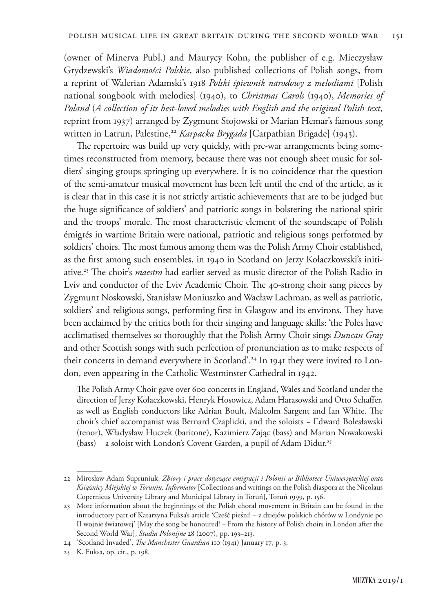(owner of Minerva Publ.) and Maurycy Kohn, the publisher of e.g. Mieczysław Grydzewski's *Wiadomości Polskie*, also published collections of Polish songs, from a reprint of Walerian Adamski's 1918 *Polski śpiewnik narodowy z melodiami* [Polish national songbook with melodies] (1940), to *Christmas Carols* (1940), *Memories of Poland* (*A collection of its best-loved melodies with English and the original Polish text*, reprint from 1937) arranged by Zygmunt Stojowski or Marian Hemar's famous song written in Latrun, Palestine,<sup>22</sup> *Karpacka Brygada* [Carpathian Brigade] (1943).

The repertoire was build up very quickly, with pre-war arrangements being sometimes reconstructed from memory, because there was not enough sheet music for soldiers' singing groups springing up everywhere. It is no coincidence that the question of the semi-amateur musical movement has been left until the end of the article, as it is clear that in this case it is not strictly artistic achievements that are to be judged but the huge significance of soldiers' and patriotic songs in bolstering the national spirit and the troops' morale. The most characteristic element of the soundscape of Polish émigrés in wartime Britain were national, patriotic and religious songs performed by soldiers' choirs. The most famous among them was the Polish Army Choir established, as the first among such ensembles, in 1940 in Scotland on Jerzy Kołaczkowski's initiative.23 The choir's *maestro* had earlier served as music director of the Polish Radio in Lviv and conductor of the Lviv Academic Choir. The 40-strong choir sang pieces by Zygmunt Noskowski, Stanisław Moniuszko and Wacław Lachman, as well as patriotic, soldiers' and religious songs, performing first in Glasgow and its environs. They have been acclaimed by the critics both for their singing and language skills: 'the Poles have acclimatised themselves so thoroughly that the Polish Army Choir sings *Duncan Gray* and other Scottish songs with such perfection of pronunciation as to make respects of their concerts in demand everywhere in Scotland'.24 In 1941 they were invited to London, even appearing in the Catholic Westminster Cathedral in 1942.

The Polish Army Choir gave over 600 concerts in England, Wales and Scotland under the direction of Jerzy Kołaczkowski, Henryk Hosowicz, Adam Harasowski and Otto Schaffer, as well as English conductors like Adrian Boult, Malcolm Sargent and Ian White. The choir's chief accompanist was Bernard Czaplicki, and the soloists − Edward Bolesławski (tenor), Władysław Huczek (baritone), Kazimierz Zając (bass) and Marian Nowakowski (bass) − a soloist with London's Covent Garden, a pupil of Adam Didur.25

<sup>22</sup> Mirosław Adam Supruniuk, *Zbiory i prace dotyczące emigracji i Polonii w Bibliotece Uniwersyteckiej oraz Książnicy Miejskiej w Toruniu. Informator* [Collections and writings on the Polish diaspora at the Nicolaus Copernicus University Library and Municipal Library in Toruń], Toruń 1999, p. 156.

<sup>23</sup> More information about the beginnings of the Polish choral movement in Britain can be found in the introductory part of Katarzyna Fuksa's article 'Cześć pieśni! – z dziejów polskich chórów w Londynie po II wojnie światowej' [May the song be honoured! – From the history of Polish choirs in London after the Second World War], *Studia Polonijne* 28 (2007), pp. 193–213.

<sup>24</sup> 'Scotland Invaded', *The Manchester Guardian* 110 (1941) January 17, p. 3.

<sup>25</sup> K. Fuksa, op. cit., p. 198.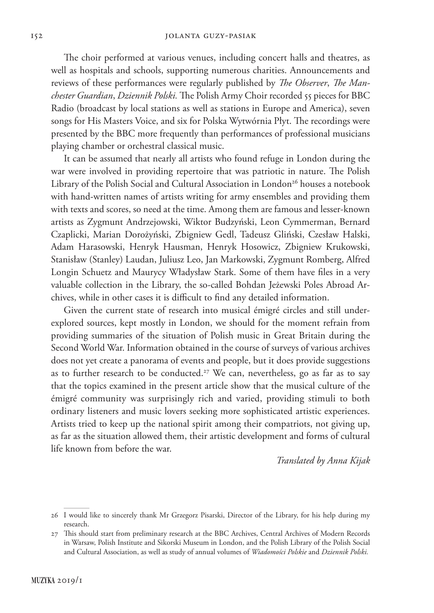The choir performed at various venues, including concert halls and theatres, as well as hospitals and schools, supporting numerous charities. Announcements and reviews of these performances were regularly published by *The Observer*, *The Manchester Guardian*, *Dziennik Polski.* The Polish Army Choir recorded 55 pieces for BBC Radio (broadcast by local stations as well as stations in Europe and America), seven songs for His Masters Voice, and six for Polska Wytwórnia Płyt. The recordings were presented by the BBC more frequently than performances of professional musicians playing chamber or orchestral classical music.

It can be assumed that nearly all artists who found refuge in London during the war were involved in providing repertoire that was patriotic in nature. The Polish Library of the Polish Social and Cultural Association in London<sup>26</sup> houses a notebook with hand-written names of artists writing for army ensembles and providing them with texts and scores, so need at the time. Among them are famous and lesser-known artists as Zygmunt Andrzejowski, Wiktor Budzyński, Leon Cymmerman, Bernard Czaplicki, Marian Dorożyński, Zbigniew Gedl, Tadeusz Gliński, Czesław Halski, Adam Harasowski, Henryk Hausman, Henryk Hosowicz, Zbigniew Krukowski, Stanisław (Stanley) Laudan, Juliusz Leo, Jan Markowski, Zygmunt Romberg, Alfred Longin Schuetz and Maurycy Władysław Stark. Some of them have files in a very valuable collection in the Library, the so-called Bohdan Jeżewski Poles Abroad Archives, while in other cases it is difficult to find any detailed information.

Given the current state of research into musical émigré circles and still underexplored sources, kept mostly in London, we should for the moment refrain from providing summaries of the situation of Polish music in Great Britain during the Second World War. Information obtained in the course of surveys of various archives does not yet create a panorama of events and people, but it does provide suggestions as to further research to be conducted.<sup>27</sup> We can, nevertheless, go as far as to say that the topics examined in the present article show that the musical culture of the émigré community was surprisingly rich and varied, providing stimuli to both ordinary listeners and music lovers seeking more sophisticated artistic experiences. Artists tried to keep up the national spirit among their compatriots, not giving up, as far as the situation allowed them, their artistic development and forms of cultural life known from before the war.

*Translated by Anna Kijak*

<sup>26</sup> I would like to sincerely thank Mr Grzegorz Pisarski, Director of the Library, for his help during my research.

<sup>27</sup> This should start from preliminary research at the BBC Archives, Central Archives of Modern Records in Warsaw, Polish Institute and Sikorski Museum in London, and the Polish Library of the Polish Social and Cultural Association, as well as study of annual volumes of *Wiadomości Polskie* and *Dziennik Polski.*